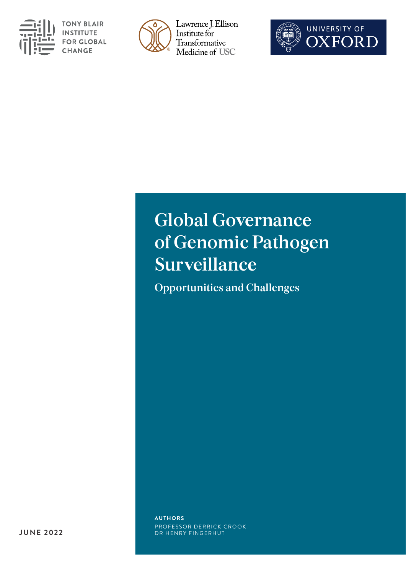

**TONY BLAIR INSTITUTE FOR GLOBAL CHANGE** 



Lawrence J. Ellison Institute for Transformative Medicine of USC



## **Global Governance of Genomic Pathogen Surveillance**

**Opportunities and Challenges** 

**AUTHORS**  PROFESSOR DERRICK CROOK DR HENRY FINGERHUT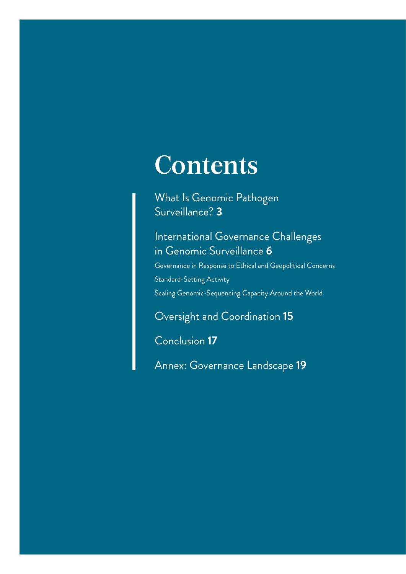# **Contents**

[What Is Genomic Pathogen](#page-2-0)  [Surveillance?](#page-2-0) **3**

### [International Governance Challenges](#page-5-0)  [in Genomic Surveillance](#page-5-0) **6**

[Governance in Response to Ethical and Geopolitical Concerns](#page-7-0) [Standard-Setting Activity](#page-9-0) [Scaling Genomic-Sequencing Capacity Around the World](#page-11-0)

[Oversight and Coordination](#page-14-0) **15**

[Conclusion](#page-16-0) **17**

[Annex: Governance Landscape](#page-18-0) **19**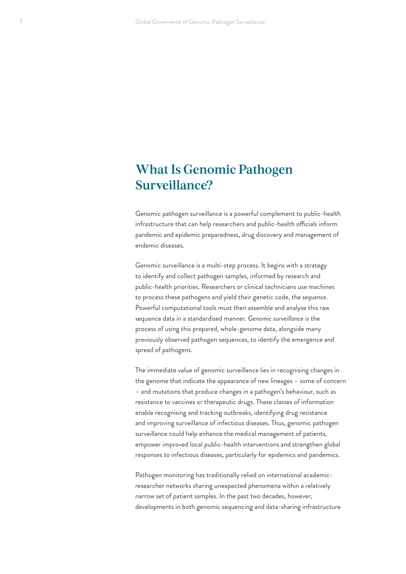### <span id="page-2-0"></span>**What Is Genomic Pathogen Surveillance?**

Genomic pathogen surveillance is a powerful complement to public-health infrastructure that can help researchers and public-health officials inform pandemic and epidemic preparedness, drug discovery and management of endemic diseases.

Genomic surveillance is a multi-step process. It begins with a strategy to identify and collect pathogen samples, informed by research and public-health priorities. Researchers or clinical technicians use machines to process these pathogens and yield their genetic code, the *sequence*. Powerful computational tools must then assemble and analyse this raw sequence data in a standardised manner. *Genomic surveillance* is the process of using this prepared, whole-genome data, alongside many previously observed pathogen sequences, to identify the emergence and spread of pathogens.

The immediate value of genomic surveillance lies in recognising changes in the genome that indicate the appearance of new lineages – some of concern – and mutations that produce changes in a pathogen's behaviour, such as resistance to vaccines or therapeutic drugs. These classes of information enable recognising and tracking outbreaks, identifying drug resistance and improving surveillance of infectious diseases. Thus, genomic pathogen surveillance could help enhance the medical management of patients, empower improved local public-health interventions and strengthen global responses to infectious diseases, particularly for epidemics and pandemics.

Pathogen monitoring has traditionally relied on international academicresearcher networks sharing unexpected phenomena within a relatively narrow set of patient samples. In the past two decades, however, developments in both genomic sequencing and data-sharing infrastructure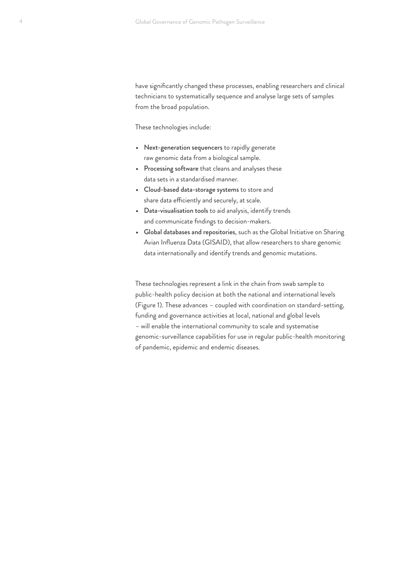have significantly changed these processes, enabling researchers and clinical technicians to systematically sequence and analyse large sets of samples from the broad population.

These technologies include:

- **•** Next-generation sequencers to rapidly generate raw genomic data from a biological sample.
- **•** Processing software that cleans and analyses these data sets in a standardised manner.
- **•** Cloud-based data-storage systems to store and share data efficiently and securely, at scale.
- **•** Data-visualisation tools to aid analysis, identify trends and communicate findings to decision-makers.
- **•** Global databases and repositories, such as the Global Initiative on Sharing Avian Influenza Data (GISAID), that allow researchers to share genomic data internationally and identify trends and genomic mutations.

These technologies represent a link in the chain from swab sample to public-health policy decision at both the national and international levels (Figure 1). These advances – coupled with coordination on standard-setting, funding and governance activities at local, national and global levels – will enable the international community to scale and systematise genomic-surveillance capabilities for use in regular public-health monitoring of pandemic, epidemic and endemic diseases.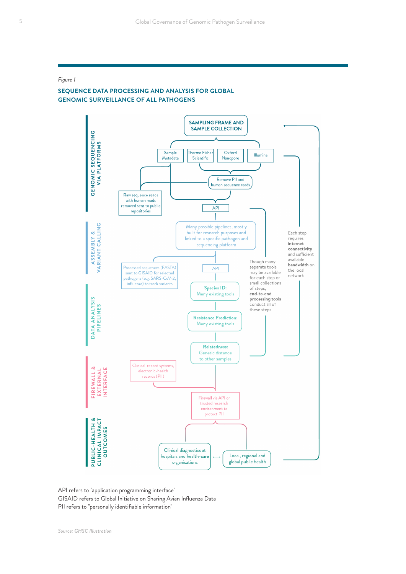#### *Figure 1*

#### **SEQUENCE DATA PROCESSING AND ANALYSIS FOR GLOBAL GENOMIC SURVEILLANCE OF ALL PATHOGENS**



API refers to "application programming interface" GISAID refers to Global Initiative on Sharing Avian Influenza Data PII refers to "personally identifiable information"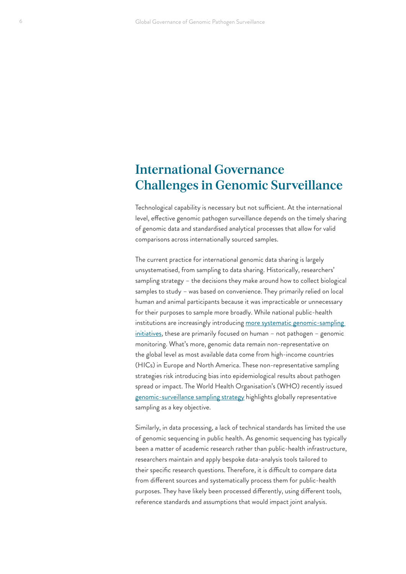### <span id="page-5-0"></span>**International Governance Challenges in Genomic Surveillance**

Technological capability is necessary but not sufficient. At the international level, effective genomic pathogen surveillance depends on the timely sharing of genomic data and standardised analytical processes that allow for valid comparisons across internationally sourced samples.

The current practice for international genomic data sharing is largely unsystematised, from sampling to data sharing. Historically, researchers' sampling strategy – the decisions they make around how to collect biological samples to study – was based on convenience. They primarily relied on local human and animal participants because it was impracticable or unnecessary for their purposes to sample more broadly. While national public-health institutions are increasingly introducing more systematic genomic-sampling [initiatives,](https://www.england.nhs.uk/genomics/nhs-genomic-med-service/) these are primarily focused on human – not pathogen – genomic monitoring. What's more, genomic data remain non-representative on the global level as most available data come from high-income countries (HICs) in Europe and North America. These non-representative sampling strategies risk introducing bias into epidemiological results about pathogen spread or impact. The World Health Organisation's (WHO) recently issued [genomic-surveillance sampling strategy](https://www.who.int/initiatives/genomic-surveillance-strategy) highlights globally representative sampling as a key objective.

Similarly, in data processing, a lack of technical standards has limited the use of genomic sequencing in public health. As genomic sequencing has typically been a matter of academic research rather than public-health infrastructure, researchers maintain and apply bespoke data-analysis tools tailored to their specific research questions. Therefore, it is difficult to compare data from different sources and systematically process them for public-health purposes. They have likely been processed differently, using different tools, reference standards and assumptions that would impact joint analysis.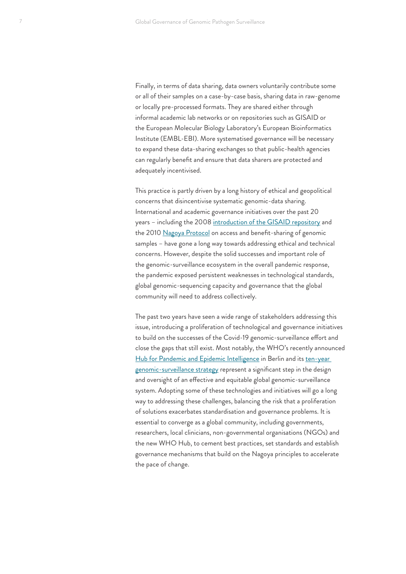Finally, in terms of data sharing, data owners voluntarily contribute some or all of their samples on a case-by-case basis, sharing data in raw-genome or locally pre-processed formats. They are shared either through informal academic lab networks or on repositories such as GISAID or the European Molecular Biology Laboratory's European Bioinformatics Institute (EMBL-EBI). More systematised governance will be necessary to expand these data-sharing exchanges so that public-health agencies can regularly benefit and ensure that data sharers are protected and adequately incentivised.

This practice is partly driven by a long history of ethical and geopolitical concerns that disincentivise systematic genomic-data sharing. International and academic governance initiatives over the past 20 years – including the 2008 [introduction of the GISAID repository](https://www.gisaid.org/about-us/history/) and the 2010 [Nagoya Protocol](https://www.cbd.int/abs/) on access and benefit-sharing of genomic samples – have gone a long way towards addressing ethical and technical concerns. However, despite the solid successes and important role of the genomic-surveillance ecosystem in the overall pandemic response, the pandemic exposed persistent weaknesses in technological standards, global genomic-sequencing capacity and governance that the global community will need to address collectively.

The past two years have seen a wide range of stakeholders addressing this issue, introducing a proliferation of technological and governance initiatives to build on the successes of the Covid-19 genomic-surveillance effort and close the gaps that still exist. Most notably, the WHO's recently announced [Hub for Pandemic and Epidemic Intelligence](https://www.who.int/news/item/01-09-2021-who-germany-open-hub-for-pandemic-and-epidemic-intelligence-in-berlin) in Berlin and its ten-year [genomic-surveillance strategy](https://www.who.int/news/item/30-03-2022-who-releases-10-year-strategy-for-genomic-surveillance-of-pathogens) represent a significant step in the design and oversight of an effective and equitable global genomic-surveillance system. Adopting some of these technologies and initiatives will go a long way to addressing these challenges, balancing the risk that a proliferation of solutions exacerbates standardisation and governance problems. It is essential to converge as a global community, including governments, researchers, local clinicians, non-governmental organisations (NGOs) and the new WHO Hub, to cement best practices, set standards and establish governance mechanisms that build on the Nagoya principles to accelerate the pace of change.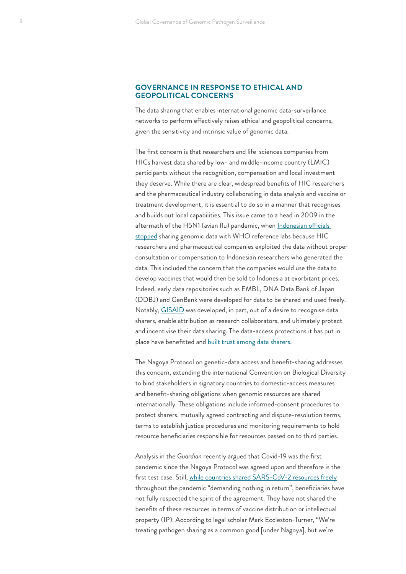#### <span id="page-7-0"></span>**GOVERNANCE IN RESPONSE TO ETHICAL AND GEOPOLITICAL CONCERNS**

The data sharing that enables international genomic data-surveillance networks to perform effectively raises ethical and geopolitical concerns, given the sensitivity and intrinsic value of genomic data.

The first concern is that researchers and life-sciences companies from HICs harvest data shared by low- and middle-income country (LMIC) participants without the recognition, compensation and local investment they deserve. While there are clear, widespread benefits of HIC researchers and the pharmaceutical industry collaborating in data analysis and vaccine or treatment development, it is essential to do so in a manner that recognises and builds out local capabilities. This issue came to a head in 2009 in the aftermath of the H5N1 (avian flu) pandemic, when Indonesian officials [stopped](https://www.cidrap.umn.edu/news-perspective/2008/07/indonesia-details-reasons-withholding-h5n1-viruses) sharing genomic data with WHO reference labs because HIC researchers and pharmaceutical companies exploited the data without proper consultation or compensation to Indonesian researchers who generated the data. This included the concern that the companies would use the data to develop vaccines that would then be sold to Indonesia at exorbitant prices. Indeed, early data repositories such as EMBL, DNA Data Bank of Japan (DDBJ) and GenBank were developed for data to be shared and used freely. Notably, [GISAID](https://www.gisaid.org/about-us/history/) was developed, in part, out of a desire to recognise data sharers, enable attribution as research collaborators, and ultimately protect and incentivise their data sharing. The data-access protections it has put in place have benefitted and [built trust among data sharers.](https://www.ncbi.nlm.nih.gov/pmc/articles/PMC6607375/)

The Nagoya Protocol on genetic-data access and benefit-sharing addresses this concern, extending the international Convention on Biological Diversity to bind stakeholders in signatory countries to domestic-access measures and benefit-sharing obligations when genomic resources are shared internationally. These obligations include informed-consent procedures to protect sharers, mutually agreed contracting and dispute-resolution terms, terms to establish justice procedures and monitoring requirements to hold resource beneficiaries responsible for resources passed on to third parties.

Analysis in the *Guardian* recently argued that Covid-19 was the first pandemic since the Nagoya Protocol was agreed upon and therefore is the first test case. Still, [while countries shared SARS-CoV-2 resources freely](https://www.theguardian.com/world/2022/mar/18/how-should-world-respond-to-next-pandemic-covid) throughout the pandemic "demanding nothing in return", beneficiaries have not fully respected the spirit of the agreement. They have not shared the benefits of these resources in terms of vaccine distribution or intellectual property (IP). According to legal scholar Mark Eccleston-Turner, "We're treating pathogen sharing as a common good [under Nagoya], but we're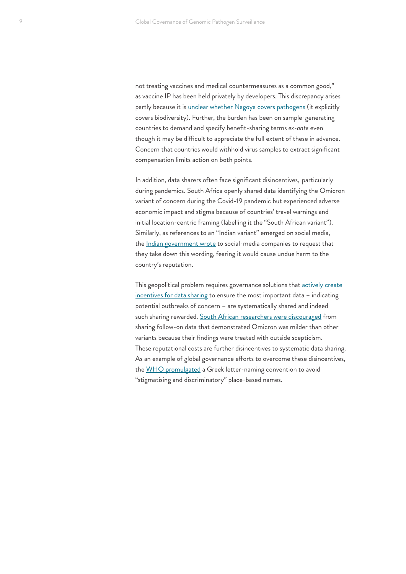not treating vaccines and medical countermeasures as a common good," as vaccine IP has been held privately by developers. This discrepancy arises partly because it is [unclear whether Nagoya covers pathogens](https://www.statnews.com/2021/11/28/nagoya-protocol-shouldnt-shield-not-sharing-pathogens-genetic-sequences/) (it explicitly covers biodiversity). Further, the burden has been on sample-generating countries to demand and specify benefit-sharing terms *ex-ante* even though it may be difficult to appreciate the full extent of these in advance. Concern that countries would withhold virus samples to extract significant compensation limits action on both points.

In addition, data sharers often face significant disincentives, particularlyduring pandemics. South Africa openly shared data identifying the Omicron variant of concern during the Covid-19 pandemic but experienced adverse economic impact and stigma because of countries' travel warnings and initial location-centric framing (labelling it the "South African variant"). Similarly, as references to an "Indian variant" emerged on social media, the [Indian government wrote](https://www.reuters.com/business/healthcare-pharmaceuticals/india-asks-social-media-firms-remove-reference-indian-variant-coronavirus-2021-05-21/) to social-media companies to request that they take down this wording, fearing it would cause undue harm to the country's reputation.

This geopolitical problem requires governance solutions that actively create [incentives for data sharing](https://www.nytimes.com/2021/11/29/opinion/south-africa-covid-omicron-variant.html) to ensure the most important data – indicating potential outbreaks of concern – are systematically shared and indeed such sharing rewarded. [South African researchers were discouraged](https://www.bbc.co.uk/news/world-africa-60039138) from sharing follow-on data that demonstrated Omicron was milder than other variants because their findings were treated with outside scepticism. These reputational costs are further disincentives to systematic data sharing. As an example of global governance efforts to overcome these disincentives, the [WHO promulgated](https://www.who.int/news/item/31-05-2021-who-announces-simple-easy-to-say-labels-for-sars-cov-2-variants-of-interest-and-concern) a Greek letter-naming convention to avoid "stigmatising and discriminatory" place-based names.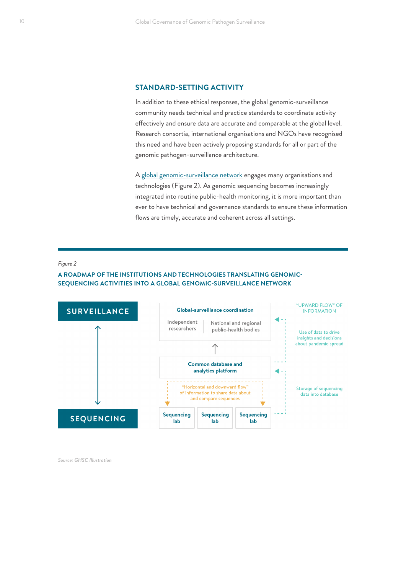#### <span id="page-9-0"></span>**STANDARD-SETTING ACTIVITY**

In addition to these ethical responses, the global genomic-surveillance community needs technical and practice standards to coordinate activity effectively and ensure data are accurate and comparable at the global level. Research consortia, international organisations and NGOs have recognised this need and have been actively proposing standards for all or part of the genomic pathogen-surveillance architecture.

A [global genomic-surveillance network](https://institute.global/sites/default/files/2021-05/GHSC%2C%20Tech%20Solutions%20for%20Global%20Genomic%20Sequencing%20and%20Surveillance%2C%20May%202021.pdf) engages many organisations and technologies (Figure 2). As genomic sequencing becomes increasingly integrated into routine public-health monitoring, it is more important than ever to have technical and governance standards to ensure these information flows are timely, accurate and coherent across all settings.

#### *Figure 2*

#### **A ROADMAP OF THE INSTITUTIONS AND TECHNOLOGIES TRANSLATING GENOMIC-SEQUENCING ACTIVITIES INTO A GLOBAL GENOMIC-SURVEILLANCE NETWORK**



*Source: GHSC Illustration*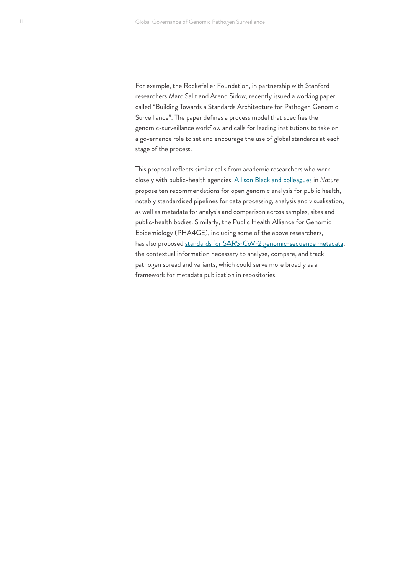For example, the Rockefeller Foundation, in partnership with Stanford researchers Marc Salit and Arend Sidow, recently issued a working paper called "Building Towards a Standards Architecture for Pathogen Genomic Surveillance". The paper defines a process model that specifies the genomic-surveillance workflow and calls for leading institutions to take on a governance role to set and encourage the use of global standards at each stage of the process.

This proposal reflects similar calls from academic researchers who work closely with public-health agencies. [Allison Black and colleagues](https://www.nature.com/articles/s41591-020-0935-z) in *Nature* propose ten recommendations for open genomic analysis for public health, notably standardised pipelines for data processing, analysis and visualisation, as well as metadata for analysis and comparison across samples, sites and public-health bodies. Similarly, the Public Health Alliance for Genomic Epidemiology (PHA4GE), including some of the above researchers, has also proposed [standards for SARS-CoV-2 genomic-sequence metadata,](https://pha4ge.org/wp-content/uploads/2022/02/giac003.pdf) the contextual information necessary to analyse, compare, and track pathogen spread and variants, which could serve more broadly as a framework for metadata publication in repositories.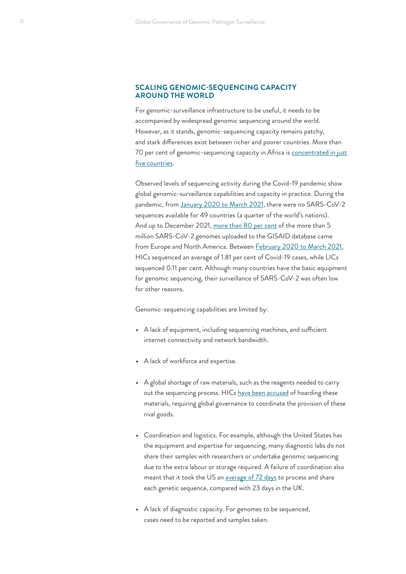#### <span id="page-11-0"></span>**SCALING GENOMIC-SEQUENCING CAPACITY AROUND THE WORLD**

For genomic-surveillance infrastructure to be useful, it needs to be accompanied by widespread genomic sequencing around the world. However, as it stands, genomic-sequencing capacity remains patchy, and stark differences exist between richer and poorer countries. More than 70 per cent of genomic-sequencing capacity in Africa is concentrated in just [five countries](https://institute.global/sites/default/files/2021-05/GHSC%2C%20Tech%20Solutions%20for%20Global%20Genomic%20Sequencing%20and%20Surveillance%2C%20May%202021.pdf).

Observed levels of sequencing activity during the Covid-19 pandemic show global genomic-surveillance capabilities and capacity in practice. During the pandemic, from [January 2020 to March 2021](https://www.devex.com/news/exclusive-quarter-of-world-s-countries-haven-t-tracked-covid-19-mutations-99335), there were no SARS-CoV-2 sequences available for 49 countries (a quarter of the world's nations). And up to December 2021, [more than 80 per cent](https://www.ft.com/content/4597ede8-f698-483a-81a2-1a9610be9784) of the more than 5 million SARS-CoV-2 genomes uploaded to the GISAID database came from Europe and North America. Between [February 2020 to March 2021](https://www.medrxiv.org/content/10.1101/2021.08.21.21262393v1.full), HICs sequenced an average of 1.81 per cent of Covid-19 cases, while LICs sequenced 0.11 per cent. Although many countries have the basic equipment for genomic sequencing, their surveillance of SARS-CoV-2 was often low for other reasons.

Genomic-sequencing capabilities are limited by:

- **•** A lack of equipment, including sequencing machines, and sufficient internet connectivity and network bandwidth.
- **•** A lack of workforce and expertise.
- **•** A global shortage of raw materials, such as the reagents needed to carry out the sequencing process. HICs [have been accused](https://www.ft.com/content/4597ede8-f698-483a-81a2-1a9610be9784) of hoarding these materials, requiring global governance to coordinate the provision of these rival goods.
- **•** Coordination and logistics. For example, although the United States has the equipment and expertise for sequencing, many diagnostic labs do not share their samples with researchers or undertake genomic sequencing due to the extra labour or storage required. A failure of coordination also meant that it took the US an [average of 72 days](https://www.theguardian.com/world/2021/feb/02/us-covid-variants-tracking-cdc-research) to process and share each genetic sequence, compared with 23 days in the UK.
- **•** A lack of diagnostic capacity. For genomes to be sequenced, cases need to be reported and samples taken.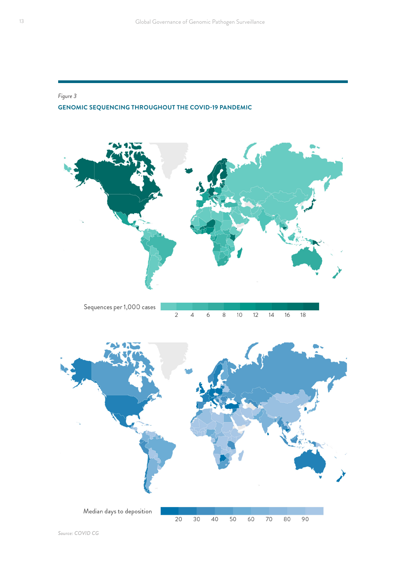#### *Figure 3*

#### **GENOMIC SEQUENCING THROUGHOUT THE COVID-19 PANDEMIC**





*Source: COVID CG*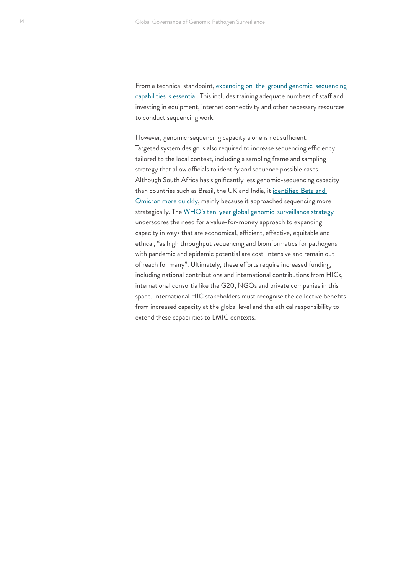From a technical standpoint, expanding on-the-ground genomic-sequencing [capabilities](https://institute.global/sites/default/files/2021-05/GHSC%2C%20Tech%20Solutions%20for%20Global%20Genomic%20Sequencing%20and%20Surveillance%2C%20May%202021.pdf) is essential. This includes training adequate numbers of staff and investing in equipment, internet connectivity and other necessary resources to conduct sequencing work.

However, genomic-sequencing capacity alone is not sufficient. Targeted system design is also required to increase sequencing efficiency tailored to the local context, including a sampling frame and sampling strategy that allow officials to identify and sequence possible cases. Although South Africa has significantly less genomic-sequencing capacity than countries such as Brazil, the UK and India, it [identified Beta and](https://www.ft.com/content/4597ede8-f698-483a-81a2-1a9610be9784)  [Omicron more quickly](https://www.ft.com/content/4597ede8-f698-483a-81a2-1a9610be9784), mainly because it approached sequencing more strategically. The [WHO's ten-year global genomic-surveillance strategy](https://www.who.int/publications/i/item/9789240046979) underscores the need for a value-for-money approach to expanding capacity in ways that are economical, efficient, effective, equitable and ethical, "as high throughput sequencing and bioinformatics for pathogens with pandemic and epidemic potential are cost-intensive and remain out of reach for many". Ultimately, these efforts require increased funding, including national contributions and international contributions from HICs, international consortia like the G20, NGOs and private companies in this space. International HIC stakeholders must recognise the collective benefits from increased capacity at the global level and the ethical responsibility to extend these capabilities to LMIC contexts.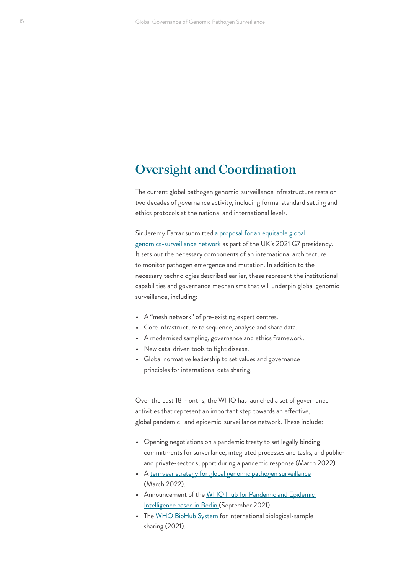### <span id="page-14-0"></span>**Oversight and Coordination**

The current global pathogen genomic-surveillance infrastructure rests on two decades of governance activity, including formal standard setting and ethics protocols at the national and international levels.

Sir Jeremy Farrar submitted a proposal for an equitable global [genomics-surveillance network](https://assets.publishing.service.gov.uk/government/uploads/system/uploads/attachment_data/file/990314/Pathogen_Surveillance_report_to_the_UK_G7_Presidency_2021.pdf) as part of the UK's 2021 G7 presidency. It sets out the necessary components of an international architecture to monitor pathogen emergence and mutation. In addition to the necessary technologies described earlier, these represent the institutional capabilities and governance mechanisms that will underpin global genomic surveillance, including:

- **•** A "mesh network" of pre-existing expert centres.
- **•** Core infrastructure to sequence, analyse and share data.
- **•** A modernised sampling, governance and ethics framework.
- **•** New data-driven tools to fight disease.
- **•** Global normative leadership to set values and governance principles for international data sharing.

Over the past 18 months, the WHO has launched a set of governance activities that represent an important step towards an effective, global pandemic- and epidemic-surveillance network. These include:

- **•** Opening negotiations on a pandemic treaty to set legally binding commitments for surveillance, integrated processes and tasks, and publicand private-sector support during a pandemic response (March 2022).
- **•** A [ten-year strategy for global genomic pathogen surveillance](https://www.who.int/news/item/30-03-2022-who-releases-10-year-strategy-for-genomic-surveillance-of-pathogens) (March 2022).
- **•** Announcement of the [WHO Hub for Pandemic and Epidemic](https://www.who.int/news/item/01-09-2021-who-germany-open-hub-for-pandemic-and-epidemic-intelligence-in-berlin)  [Intelligence based in Berlin \(September 2021\).](https://www.who.int/news/item/01-09-2021-who-germany-open-hub-for-pandemic-and-epidemic-intelligence-in-berlin)
- **•** The [WHO BioHub System](https://www.who.int/initiatives/who-biohub) for international biological-samplesharing (2021).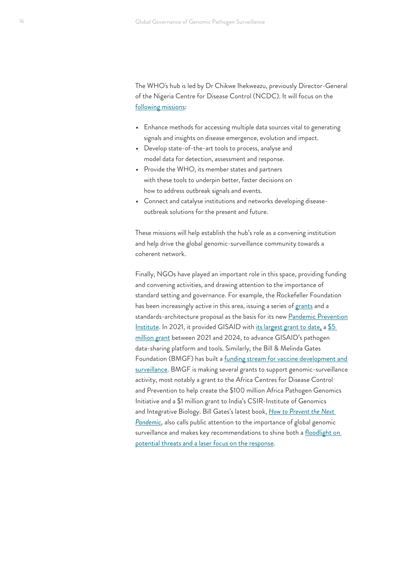The WHO's hub is led by Dr Chikwe Ihekweazu, previously Director-General of the Nigeria Centre for Disease Control (NCDC). It will focus on the [following missions](https://www.who.int/news/item/01-09-2021-who-germany-open-hub-for-pandemic-and-epidemic-intelligence-in-berlin):

- **•** Enhance methods for accessing multiple data sources vital to generating signals and insights on disease emergence, evolution and impact.
- **•** Develop state-of-the-art tools to process, analyse and model data for detection, assessment and response.
- **•** Provide the WHO, its member states and partners with these tools to underpin better, faster decisions on how to address outbreak signals and events.
- **•** Connect and catalyse institutions and networks developing diseaseoutbreak solutions for the present and future.

These missions will help establish the hub's role as a convening institution and help drive the global genomic-surveillance community towards a coherent network.

Finally, NGOs have played an important role in this space, providing funding and convening activities, and drawing attention to the importance of standard setting and governance. For example, the Rockefeller Foundation has been increasingly active in this area, issuing a series of [grants](https://www.rockefellerfoundation.org/news/the-rockefeller-foundation-announces-key-grants-and-collaborations-toward-the-creation-of-a-pandemic-prevention-institute/) and a standards-architecture proposal as the basis for its new [Pandemic Prevention](https://www.rockefellerfoundation.org/pandemicpreventioninstitute/) [Institute](https://www.rockefellerfoundation.org/pandemicpreventioninstitute/). In 2021, it provided GISAID with [its largest grant to date](https://www.gisaid.org/about-us/grants-and-donations/), a \$5 [million grant](https://www.rockefellerfoundation.org/grant/the-gisaid-initiative-2021-3/) between 2021 and 2024, to advance GISAID's pathogen data-sharing platform and tools. Similarly, the Bill & Melinda Gates Foundation (BMGF) has built a funding stream for vaccine development and [surveillance.](https://www.gatesfoundation.org/our-work/programs/global-health/vaccine-development-and-surveillance) BMGF is making several grants to support genomic-surveillance activity, most notably a grant to the Africa Centres for Disease Control and Prevention to help create the \$100 million Africa Pathogen Genomics Initiative and a \$1 million grant to India's CSIR-Institute of Genomics and Integrative Biology. Bill Gates's latest book, *[How to Prevent the Next](https://www.gatesnotes.com/How-to-Prevent-the-Next-Pandemic)  [Pandemic](https://www.gatesnotes.com/How-to-Prevent-the-Next-Pandemic)*, also calls public attention to the importance of global genomic surveillance and makes key recommendations to shine both a floodlight on [potential threats and a laser focus on the response](https://institute.global/policy/floodlight-laser-focus-spotting-next-pandemic-it-happens).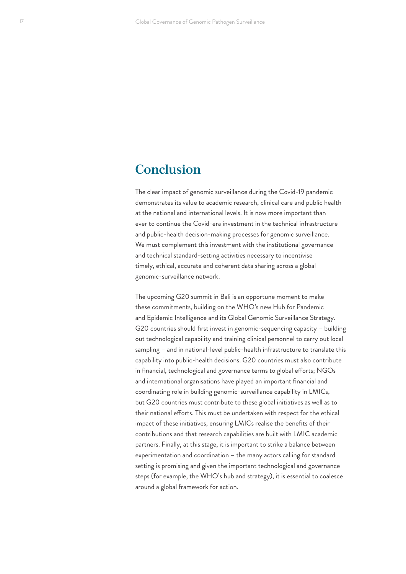### <span id="page-16-0"></span>**Conclusion**

The clear impact of genomic surveillance during the Covid-19 pandemic demonstrates its value to academic research, clinical care and public health at the national and international levels. It is now more important than ever to continue the Covid-era investment in the technical infrastructure and public-health decision-making processes for genomic surveillance. We must complement this investment with the institutional governance and technical standard-setting activities necessary to incentivise timely, ethical, accurate and coherent data sharing across a global genomic-surveillance network.

The upcoming G20 summit in Bali is an opportune moment to make these commitments, building on the WHO's new Hub for Pandemic and Epidemic Intelligence and its Global Genomic Surveillance Strategy. G20 countries should first invest in genomic-sequencing capacity – building out technological capability and training clinical personnel to carry out local sampling – and in national-level public-health infrastructure to translate this capability into public-health decisions. G20 countries must also contribute in financial, technological and governance terms to global efforts; NGOs and international organisations have played an important financial and coordinating role in building genomic-surveillance capability in LMICs, but G20 countries must contribute to these global initiatives as well as to their national efforts. This must be undertaken with respect for the ethical impact of these initiatives, ensuring LMICs realise the benefits of their contributions and that research capabilities are built with LMIC academic partners. Finally, at this stage, it is important to strike a balance between experimentation and coordination – the many actors calling for standard setting is promising and given the important technological and governance steps (for example, the WHO's hub and strategy), it is essential to coalesce around a global framework for action.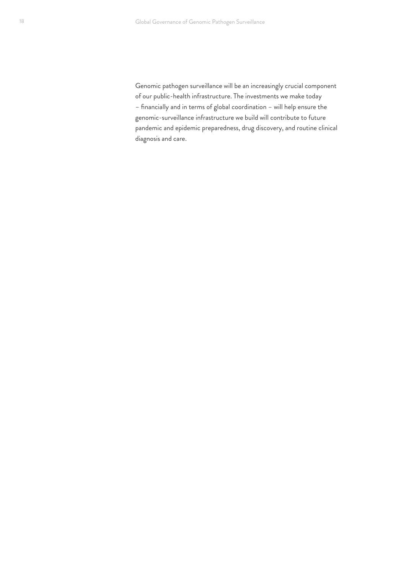Genomic pathogen surveillance will be an increasingly crucial component of our public-health infrastructure. The investments we make today – financially and in terms of global coordination – will help ensure the genomic-surveillance infrastructure we build will contribute to future pandemic and epidemic preparedness, drug discovery, and routine clinical diagnosis and care.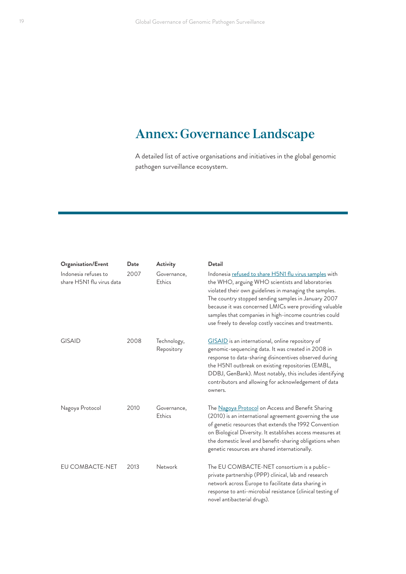### <span id="page-18-0"></span>**Annex: Governance Landscape**

A detailed list of active organisations and initiatives in the global genomic pathogen surveillance ecosystem.

| Organisation/Event                                | Date | Activity                  | <b>Detail</b>                                                                                                                                                                                                                                                                                                                                                                                           |
|---------------------------------------------------|------|---------------------------|---------------------------------------------------------------------------------------------------------------------------------------------------------------------------------------------------------------------------------------------------------------------------------------------------------------------------------------------------------------------------------------------------------|
| Indonesia refuses to<br>share H5N1 flu virus data | 2007 | Governance,<br>Ethics     | Indonesia refused to share H5N1 flu virus samples with<br>the WHO, arguing WHO scientists and laboratories<br>violated their own guidelines in managing the samples.<br>The country stopped sending samples in January 2007<br>because it was concerned LMICs were providing valuable<br>samples that companies in high-income countries could<br>use freely to develop costly vaccines and treatments. |
| <b>GISAID</b>                                     | 2008 | Technology,<br>Repository | GISAID is an international, online repository of<br>genomic-sequencing data. It was created in 2008 in<br>response to data-sharing disincentives observed during<br>the H5N1 outbreak on existing repositories (EMBL,<br>DDBJ, GenBank). Most notably, this includes identifying<br>contributors and allowing for acknowledgement of data<br>owners.                                                    |
| Nagoya Protocol                                   | 2010 | Governance,<br>Ethics     | The Nagoya Protocol on Access and Benefit Sharing<br>(2010) is an international agreement governing the use<br>of genetic resources that extends the 1992 Convention<br>on Biological Diversity. It establishes access measures at<br>the domestic level and benefit-sharing obligations when<br>genetic resources are shared internationally.                                                          |
| EU COMBACTE-NET                                   | 2013 | Network                   | The EU COMBACTE-NET consortium is a public-<br>private partnership (PPP) clinical, lab and research<br>network across Europe to facilitate data sharing in<br>response to anti-microbial resistance (clinical testing of<br>novel antibacterial drugs).                                                                                                                                                 |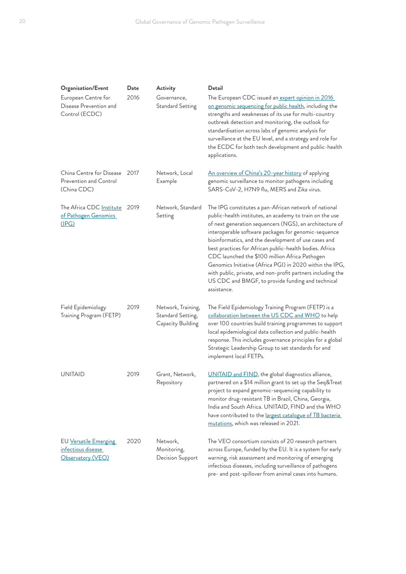| <b>Organisation/Event</b>                                              | Date | Activity                                                     | Detail                                                                                                                                                                                                                                                                                                                                                                                                                                                                                                                                                                                                   |
|------------------------------------------------------------------------|------|--------------------------------------------------------------|----------------------------------------------------------------------------------------------------------------------------------------------------------------------------------------------------------------------------------------------------------------------------------------------------------------------------------------------------------------------------------------------------------------------------------------------------------------------------------------------------------------------------------------------------------------------------------------------------------|
| European Centre for<br>Disease Prevention and<br>Control (ECDC)        | 2016 | Governance,<br><b>Standard Setting</b>                       | The European CDC issued an expert opinion in 2016<br>on genomic sequencing for public health, including the<br>strengths and weaknesses of its use for multi-country<br>outbreak detection and monitoring, the outlook for<br>standardisation across labs of genomic analysis for<br>surveillance at the EU level, and a strategy and role for<br>the ECDC for both tech development and public-health<br>applications.                                                                                                                                                                                  |
| China Centre for Disease 2017<br>Prevention and Control<br>(China CDC) |      | Network, Local<br>Example                                    | An overview of China's 20-year history of applying<br>genomic surveillance to monitor pathogens including<br>SARS-CoV-2, H7N9 flu, MERS and Zika virus.                                                                                                                                                                                                                                                                                                                                                                                                                                                  |
| The Africa CDC Institute<br>of Pathogen Genomics<br><u>(IPG)</u>       | 2019 | Network, Standard<br>Setting                                 | The IPG constitutes a pan-African network of national<br>public-health institutes, an academy to train on the use<br>of next generation sequencers (NGS), an architecture of<br>interoperable software packages for genomic-sequence<br>bioinformatics, and the development of use cases and<br>best practices for African public-health bodies. Africa<br>CDC launched the \$100 million Africa Pathogen<br>Genomics Initiative (Africa PGI) in 2020 within the IPG,<br>with public, private, and non-profit partners including the<br>US CDC and BMGF, to provide funding and technical<br>assistance. |
| Field Epidemiology<br>Training Program (FETP)                          | 2019 | Network, Training,<br>Standard Setting,<br>Capacity Building | The Field Epidemiology Training Program (FETP) is a<br>collaboration between the US CDC and WHO to help<br>over 100 countries build training programmes to support<br>local epidemiological data collection and public-health<br>response. This includes governance principles for a global<br>Strategic Leadership Group to set standards for and<br>implement local FETPs.                                                                                                                                                                                                                             |
| <b>UNITAID</b>                                                         | 2019 | Grant, Network,<br>Repository                                | UNITAID and FIND, the global diagnostics alliance,<br>partnered on a \$14 million grant to set up the Seq&Treat<br>project to expand genomic-sequencing capability to<br>monitor drug-resistant TB in Brazil, China, Georgia,<br>India and South Africa. UNITAID, FIND and the WHO<br>have contributed to the largest catalogue of TB bacteria<br>mutations, which was released in 2021.                                                                                                                                                                                                                 |
| EU Versatile Emerging<br>infectious disease<br>Observatory (VEO)       | 2020 | Network,<br>Monitoring,<br>Decision Support                  | The VEO consortium consists of 20 research partners<br>across Europe, funded by the EU. It is a system for early<br>warning, risk assessment and monitoring of emerging<br>infectious diseases, including surveillance of pathogens<br>pre- and post-spillover from animal cases into humans.                                                                                                                                                                                                                                                                                                            |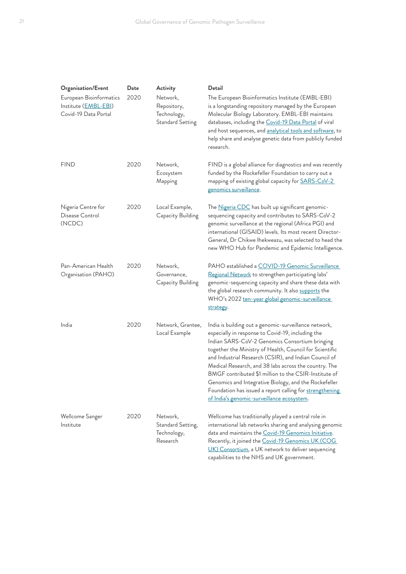| Organisation/Event                                                               | Date | Activity                                                          | Detail                                                                                                                                                                                                                                                                                                                                                                                                                                                                                                                                                                |
|----------------------------------------------------------------------------------|------|-------------------------------------------------------------------|-----------------------------------------------------------------------------------------------------------------------------------------------------------------------------------------------------------------------------------------------------------------------------------------------------------------------------------------------------------------------------------------------------------------------------------------------------------------------------------------------------------------------------------------------------------------------|
| European Bioinformatics<br>Institute ( <b>EMBL-EBI</b> )<br>Covid-19 Data Portal | 2020 | Network,<br>Repository,<br>Technology,<br><b>Standard Setting</b> | The European Bioinformatics Institute (EMBL-EBI)<br>is a longstanding repository managed by the European<br>Molecular Biology Laboratory. EMBL-EBI maintains<br>databases, including the Covid-19 Data Portal of viral<br>and host sequences, and analytical tools and software, to<br>help share and analyse genetic data from publicly funded<br>research.                                                                                                                                                                                                          |
| <b>FIND</b>                                                                      | 2020 | Network,<br>Ecosystem<br>Mapping                                  | FIND is a global alliance for diagnostics and was recently<br>funded by the Rockefeller Foundation to carry out a<br>mapping of existing global capacity for <b>SARS-CoV-2</b><br>genomics surveillance.                                                                                                                                                                                                                                                                                                                                                              |
| Nigeria Centre for<br>Disease Control<br>(NCDC)                                  | 2020 | Local Example,<br>Capacity Building                               | The Nigeria CDC has built up significant genomic-<br>sequencing capacity and contributes to SARS-CoV-2<br>genomic surveillance at the regional (Africa PGI) and<br>international (GISAID) levels. Its most recent Director-<br>General, Dr Chikwe Ihekweazu, was selected to head the<br>new WHO Hub for Pandemic and Epidemic Intelligence.                                                                                                                                                                                                                          |
| Pan-American Health<br>Organisation (PAHO)                                       | 2020 | Network,<br>Governance,<br>Capacity Building                      | PAHO established a COVID-19 Genomic Surveillance<br>Regional Network to strengthen participating labs'<br>genomic-sequencing capacity and share these data with<br>the global research community. It also supports the<br>WHO's 2022 ten-year global genomic-surveillance<br>strategy.                                                                                                                                                                                                                                                                                |
| India                                                                            | 2020 | Network, Grantee,<br>Local Example                                | India is building out a genomic-surveillance network,<br>especially in response to Covid-19, including the<br>Indian SARS-CoV-2 Genomics Consortium bringing<br>together the Ministry of Health, Council for Scientific<br>and Industrial Research (CSIR), and Indian Council of<br>Medical Research, and 38 labs across the country. The<br>BMGF contributed \$1 million to the CSIR-Institute of<br>Genomics and Integrative Biology, and the Rockefeller<br>Foundation has issued a report calling for strengthening<br>of India's genomic-surveillance ecosystem. |
| Wellcome Sanger<br>Institute                                                     | 2020 | Network,<br>Standard Setting,<br>Technology,<br>Research          | Wellcome has traditionally played a central role in<br>international lab networks sharing and analysing genomic<br>data and maintains the Covid-19 Genomics Initiative.<br>Recently, it joined the Covid-19 Genomics UK (COG<br>UK) Consortium, a UK network to deliver sequencing<br>capabilities to the NHS and UK government.                                                                                                                                                                                                                                      |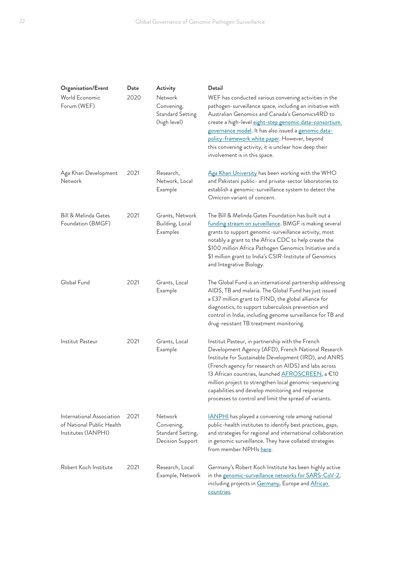| Organisation/Event<br>World Economic<br>Forum (WEF)                           | Date<br>2020 | Activity<br>Network<br>Convening,<br><b>Standard Setting</b><br>(high level) | Detail<br>WEF has conducted various convening activities in the<br>pathogen-surveillance space, including an initiative with<br>Australian Genomics and Canada's Genomics4RD to<br>create a high-level eight-step genomic data-consortium<br>governance model. It has also issued a genomic data-<br>policy-framework white paper. However, beyond<br>this convening activity, it is unclear how deep their<br>involvement is in this space.        |
|-------------------------------------------------------------------------------|--------------|------------------------------------------------------------------------------|-----------------------------------------------------------------------------------------------------------------------------------------------------------------------------------------------------------------------------------------------------------------------------------------------------------------------------------------------------------------------------------------------------------------------------------------------------|
| Aga Khan Development<br>Network                                               | 2021         | Research,<br>Network, Local<br>Example                                       | Aga Khan University has been working with the WHO<br>and Pakistani public- and private-sector laboratories to<br>establish a genomic-surveillance system to detect the<br>Omicron variant of concern.                                                                                                                                                                                                                                               |
| Bill & Melinda Gates<br>Foundation (BMGF)                                     | 2021         | Grants, Network<br>Building, Local<br>Examples                               | The Bill & Melinda Gates Foundation has built out a<br>funding stream on surveillance. BMGF is making several<br>grants to support genomic-surveillance activity, most<br>notably a grant to the Africa CDC to help create the<br>\$100 million Africa Pathogen Genomics Initiative and a<br>\$1 million grant to India's CSIR-Institute of Genomics<br>and Integrative Biology.                                                                    |
| Global Fund                                                                   | 2021         | Grants, Local<br>Example                                                     | The Global Fund is an international partnership addressing<br>AIDS, TB and malaria. The Global Fund has just issued<br>a £37 million grant to FIND, the global alliance for<br>diagnostics, to support tuberculosis prevention and<br>control in India, including genome surveillance for TB and<br>drug-resistant TB treatment monitoring.                                                                                                         |
| Institut Pasteur                                                              | 2021         | Grants, Local<br>Example                                                     | Institut Pasteur, in partnership with the French<br>Development Agency (AFD), French National Research<br>Institute for Sustainable Development (IRD), and ANRS<br>(French agency for research on AIDS) and labs across<br>13 African countries, launched AFROSCREEN, a €10<br>million project to strengthen local genomic-sequencing<br>capabilities and develop monitoring and response<br>processes to control and limit the spread of variants. |
| International Association<br>of National Public Health<br>Institutes (IANPHI) | 2021         | Network<br>Convening,<br>Standard Setting,<br>Decision Support               | <b>IANPHI</b> has played a convening role among national<br>public-health institutes to identify best practices, gaps,<br>and strategies for regional and international collaboration<br>in genomic surveillance. They have collated strategies<br>from member NPHIs here.                                                                                                                                                                          |
| Robert Koch Institute                                                         | 2021         | Research, Local<br>Example, Network                                          | Germany's Robert Koch Institute has been highly active<br>in the genomic-surveillance networks for SARS-CoV-2,<br>including projects in Germany, Europe and African<br>countries.                                                                                                                                                                                                                                                                   |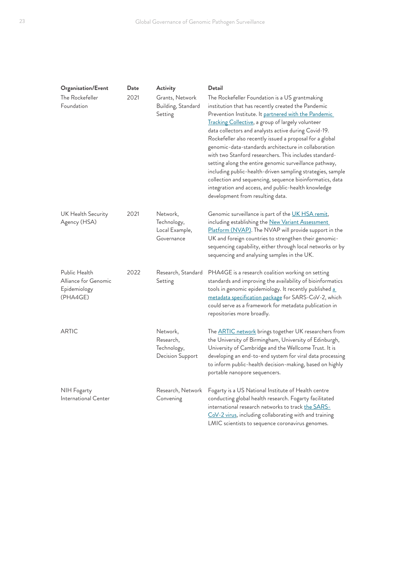| Organisation/Event                                                | Date | Activity                                                 | Detail                                                                                                                                                                                                                                                                                                                                                                                                                                                                                                                                                                                                                                                                                                                                 |
|-------------------------------------------------------------------|------|----------------------------------------------------------|----------------------------------------------------------------------------------------------------------------------------------------------------------------------------------------------------------------------------------------------------------------------------------------------------------------------------------------------------------------------------------------------------------------------------------------------------------------------------------------------------------------------------------------------------------------------------------------------------------------------------------------------------------------------------------------------------------------------------------------|
| The Rockefeller<br>Foundation                                     | 2021 | Grants, Network<br>Building, Standard<br>Setting         | The Rockefeller Foundation is a US grantmaking<br>institution that has recently created the Pandemic<br>Prevention Institute. It partnered with the Pandemic<br>Tracking Collective, a group of largely volunteer<br>data collectors and analysts active during Covid-19.<br>Rockefeller also recently issued a proposal for a global<br>genomic-data-standards architecture in collaboration<br>with two Stanford researchers. This includes standard-<br>setting along the entire genomic surveillance pathway,<br>including public-health-driven sampling strategies, sample<br>collection and sequencing, sequence bioinformatics, data<br>integration and access, and public-health knowledge<br>development from resulting data. |
| UK Health Security<br>Agency (HSA)                                | 2021 | Network,<br>Technology,<br>Local Example,<br>Governance  | Genomic surveillance is part of the UK HSA remit,<br>including establishing the New Variant Assessment<br>Platform (NVAP). The NVAP will provide support in the<br>UK and foreign countries to strengthen their genomic-<br>sequencing capability, either through local networks or by<br>sequencing and analysing samples in the UK.                                                                                                                                                                                                                                                                                                                                                                                                  |
| Public Health<br>Alliance for Genomic<br>Epidemiology<br>(PHA4GE) | 2022 | Research, Standard<br>Setting                            | PHA4GE is a research coalition working on setting<br>standards and improving the availability of bioinformatics<br>tools in genomic epidemiology. It recently published a<br>metadata specification package for SARS-CoV-2, which<br>could serve as a framework for metadata publication in<br>repositories more broadly.                                                                                                                                                                                                                                                                                                                                                                                                              |
| <b>ARTIC</b>                                                      |      | Network,<br>Research,<br>Technology,<br>Decision Support | The <b>ARTIC</b> network brings together UK researchers from<br>the University of Birmingham, University of Edinburgh,<br>University of Cambridge and the Wellcome Trust. It is<br>developing an end-to-end system for viral data processing<br>to inform public-health decision-making, based on highly<br>portable nanopore sequencers.                                                                                                                                                                                                                                                                                                                                                                                              |
| NIH Fogarty<br>International Center                               |      | Research, Network<br>Convening                           | Fogarty is a US National Institute of Health centre<br>conducting global health research. Fogarty facilitated<br>international research networks to track the SARS-<br>CoV-2 virus, including collaborating with and training<br>LMIC scientists to sequence coronavirus genomes.                                                                                                                                                                                                                                                                                                                                                                                                                                                      |